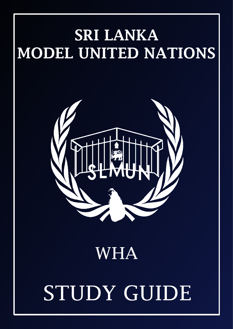## SRI LANKA MODEL UNITED NATIONS



### WHA

# STUDY GUIDE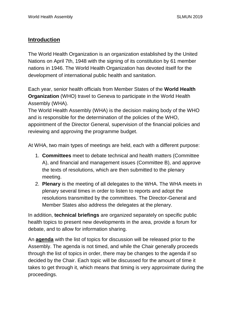#### **Introduction**

The World Health Organization is an organization established by the United Nations on April 7th, 1948 with the signing of its constitution by 61 member nations in 1946. The World Health Organization has devoted itself for the development of international public health and sanitation.

Each year, senior health officials from Member States of the **[World Health](https://www.who.int/) [Organization](https://www.who.int/)** (WHO) travel to Geneva to participate in the World Health Assembly (WHA).

The World Health Assembly (WHA) is the decision making body of the WHO and is responsible for the determination of the policies of the WHO, appointment of the Director General, supervision of the financial policies and reviewing and approving the programme budget.

At WHA, two main types of meetings are held, each with a different purpose:

- 1. **Committees** meet to debate technical and health matters (Committee A), and financial and management issues (Committee B), and approve the texts of resolutions, which are then submitted to the plenary meeting.
- 2. **Plenary** is the meeting of all delegates to the WHA. The WHA meets in plenary several times in order to listen to reports and adopt the resolutions transmitted by the committees. The Director-General and Member States also address the delegates at the plenary.

In addition, **technical briefings** are organized separately on specific public health topics to present new developments in the area, provide a forum for debate, and to allow for information sharing.

An **[agenda](http://apps.who.int/gb/e/e_wha72.html)** with the list of topics for discussion will be released prior to the Assembly. The agenda is not timed, and while the Chair generally proceeds through the list of topics in order, there may be changes to the agenda if so decided by the Chair. Each topic will be discussed for the amount of time it takes to get through it, which means that timing is very approximate during the proceedings.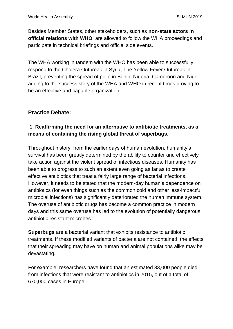Besides Member States, other stakeholders, such as **[non-state actors in](https://www.who.int/about/collaborations/non-state-actors/in-official-relations/en/) [official relations with WHO](https://www.who.int/about/collaborations/non-state-actors/in-official-relations/en/)**, are allowed to follow the WHA proceedings and participate in technical briefings and official side events.

The WHA working in tandem with the WHO has been able to successfully respond to the Cholera Outbreak in Syria, The Yellow Fever Outbreak in Brazil, preventing the spread of polio in Benin, Nigeria, Cameroon and Niger adding to the success story of the WHA and WHO in recent times proving to be an effective and capable organization.

#### **Practice Debate:**

#### **1. Reaffirming the need for an alternative to antibiotic treatments, as a means of containing the rising global threat of superbugs.**

Throughout history, from the earlier days of human evolution, humanity's survival has been greatly determined by the ability to counter and effectively take action against the violent spread of infectious diseases. Humanity has been able to progress to such an extent even going as far as to create effective antibiotics that treat a fairly large range of bacterial infections. However, it needs to be stated that the modern-day human's dependence on antibiotics (for even things such as the common cold and other less-impactful microbial infections) has significantly deteriorated the human immune system. The overuse of antibiotic drugs has become a common practice in modern days and this same overuse has led to the evolution of potentially dangerous antibiotic resistant microbes.

**Superbugs** are a bacterial variant that exhibits resistance to antibiotic treatments. If these modified variants of bacteria are not contained, the effects that their spreading may have on human and animal populations alike may be devastating.

For example, researchers have found that an estimated 33,000 people died from infections that were resistant to antibiotics in 2015, out of a total of 670,000 cases in Europe.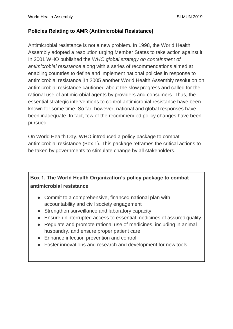#### **Policies Relating to AMR (Antimicrobial Resistance)**

Antimicrobial resistance is not a new problem. In 1998, the World Health Assembly adopted a resolution urging Member States to take action against it. In 2001 WHO published the *WHO global strategy on containment of antimicrobial resistance* along with a series of recommendations aimed at enabling countries to define and implement national policies in response to antimicrobial resistance. In 2005 another World Health Assembly resolution on antimicrobial resistance cautioned about the slow progress and called for the rational use of antimicrobial agents by providers and consumers. Thus, the essential strategic interventions to control antimicrobial resistance have been known for some time. So far, however, national and global responses have been inadequate. In fact, few of the recommended policy changes have been pursued.

On World Health Day, WHO introduced a policy package to combat antimicrobial resistance (Box 1). This package reframes the critical actions to be taken by governments to stimulate change by all stakeholders.

#### **Box 1. The World Health Organization's policy package to combat antimicrobial resistance**

- Commit to a comprehensive, financed national plan with accountability and civil society engagement
- Strengthen surveillance and laboratory capacity
- Ensure uninterrupted access to essential medicines of assured quality
- Regulate and promote rational use of medicines, including in animal husbandry, and ensure proper patient care
- Enhance infection prevention and control
- Foster innovations and research and development for new tools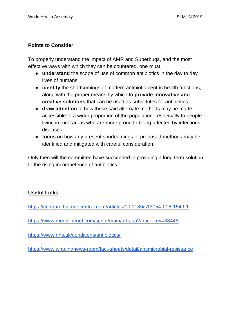#### **Points to Consider**

To properly understand the impact of AMR and Superbugs, and the most effective ways with which they can be countered, one must

- **understand** the scope of use of common antibiotics in the day to day lives of humans.
- **identify** the shortcomings of modern antibiotic-centric health functions, along with the proper means by which to **provide innovative and creative solutions** that can be used as substitutes for antibiotics.
- **draw attention** to how these said alternate methods may be made accessible to a wider proportion of the population - especially to people living in rural areas who are more prone to being affected by infectious diseases.
- **focus** on how any present shortcomings of proposed methods may be identified and mitigated with careful consideration.

Only then will the committee have succeeded in providing a long term solution to the rising incompetence of antibiotics.

#### **Useful Links**

<https://ccforum.biomedcentral.com/articles/10.1186/s13054-016-1549-1>

<https://www.medicinenet.com/script/main/art.asp?articlekey=38448>

<https://www.nhs.uk/conditions/antibiotics/>

<https://www.who.int/news-room/fact-sheets/detail/antimicrobial-resistance>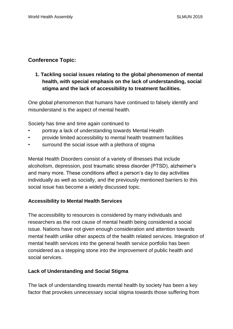#### **Conference Topic:**

#### **1. Tackling social issues relating to the global phenomenon of mental health, with special emphasis on the lack of understanding, social stigma and the lack of accessibility to treatment facilities.**

One global phenomenon that humans have continued to falsely identify and misunderstand is the aspect of mental health.

Society has time and time again continued to

- portray a lack of understanding towards Mental Health
- provide limited accessibility to mental health treatment facilities
- surround the social issue with a plethora of stigma

Mental Health Disorders consist of a variety of illnesses that include alcoholism, depression, post traumatic stress disorder (PTSD), alzheimer's and many more. These conditions affect a person's day to day activities individually as well as socially, and the previously mentioned barriers to this social issue has become a widely discussed topic.

#### **Accessibility to Mental Health Services**

The accessibility to resources is considered by many individuals and researchers as the root cause of mental health being considered a social issue. Nations have not given enough consideration and attention towards mental health unlike other aspects of the health related services. Integration of mental health services into the general health service portfolio has been considered as a stepping stone into the improvement of public health and social services.

#### **Lack of Understanding and Social Stigma**

The lack of understanding towards mental health by society has been a key factor that provokes unnecessary social stigma towards those suffering from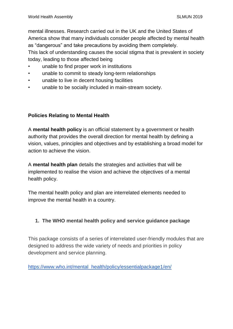mental illnesses. Research carried out in the UK and the United States of America show that many individuals consider people affected by mental health as "dangerous" and take precautions by avoiding them completely. This lack of understanding causes the social stigma that is prevalent in society

today, leading to those affected being

- unable to find proper work in institutions
- unable to commit to steady long-term relationships
- unable to live in decent housing facilities
- unable to be socially included in main-stream society.

#### **Policies Relating to Mental Health**

A **mental health policy** is an official statement by a government or health authority that provides the overall direction for mental health by defining a vision, values, principles and objectives and by establishing a broad model for action to achieve the vision.

A **mental health plan** details the strategies and activities that will be implemented to realise the vision and achieve the objectives of a mental health policy.

The mental health policy and plan are interrelated elements needed to improve the mental health in a country.

#### **1. The WHO mental health policy and service guidance package**

This package consists of a series of interrelated user-friendly modules that are designed to address the wide variety of needs and priorities in policy development and service planning.

[https://www.who.int/mental\\_health/policy/essentialpackage1/en/](https://www.who.int/mental_health/policy/essentialpackage1/en/)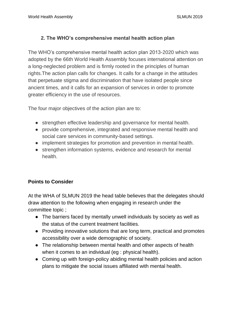#### **2. The WHO's comprehensive mental health action plan**

The WHO's comprehensive mental health action plan 2013-2020 which was adopted by the 66th World Health Assembly focuses international attention on a long-neglected problem and is firmly rooted in the principles of human rights.The action plan calls for changes. It calls for a change in the attitudes that perpetuate stigma and discrimination that have isolated people since ancient times, and it calls for an expansion of services in order to promote greater efficiency in the use of resources.

The four major objectives of the action plan are to:

- strengthen effective leadership and governance for mental health.
- provide comprehensive, integrated and responsive mental health and social care services in community-based settings.
- implement strategies for promotion and prevention in mental health.
- strengthen information systems, evidence and research for mental health.

#### **Points to Consider**

At the WHA of SLMUN 2019 the head table believes that the delegates should draw attention to the following when engaging in research under the committee topic ;

- The barriers faced by mentally unwell individuals by society as well as the status of the current treatment facilities.
- Providing innovative solutions that are long term, practical and promotes accessibility over a wide demographic of society.
- The relationship between mental health and other aspects of health when it comes to an individual (eg : physical health).
- Coming up with foreign-policy abiding mental health policies and action plans to mitigate the social issues affiliated with mental health.